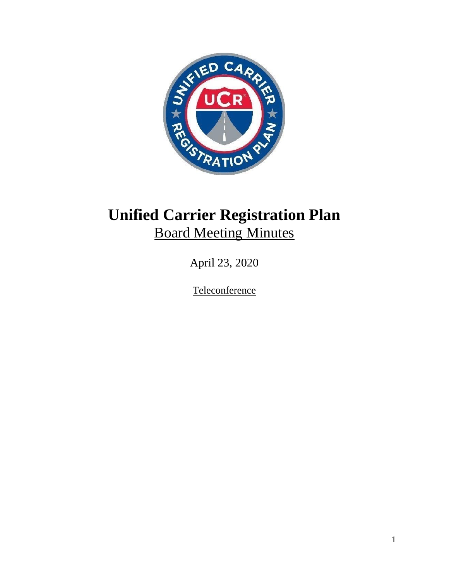

# **Unified Carrier Registration Plan** Board Meeting Minutes

April 23, 2020

**Teleconference**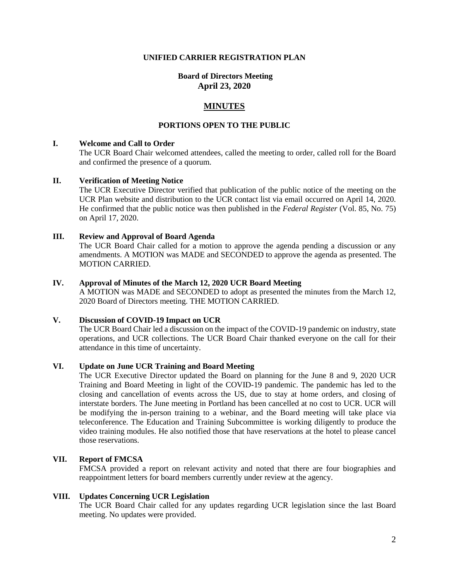#### **UNIFIED CARRIER REGISTRATION PLAN**

## **Board of Directors Meeting April 23, 2020**

## **MINUTES**

### **PORTIONS OPEN TO THE PUBLIC**

#### **I. Welcome and Call to Order**

The UCR Board Chair welcomed attendees, called the meeting to order, called roll for the Board and confirmed the presence of a quorum.

#### **II. Verification of Meeting Notice**

The UCR Executive Director verified that publication of the public notice of the meeting on the UCR Plan website and distribution to the UCR contact list via email occurred on April 14, 2020. He confirmed that the public notice was then published in the *Federal Register* (Vol. 85, No. 75) on April 17, 2020.

#### **III. Review and Approval of Board Agenda**

The UCR Board Chair called for a motion to approve the agenda pending a discussion or any amendments. A MOTION was MADE and SECONDED to approve the agenda as presented. The MOTION CARRIED.

#### **IV. Approval of Minutes of the March 12, 2020 UCR Board Meeting**

A MOTION was MADE and SECONDED to adopt as presented the minutes from the March 12, 2020 Board of Directors meeting. THE MOTION CARRIED.

## **V. Discussion of COVID-19 Impact on UCR**

The UCR Board Chair led a discussion on the impact of the COVID-19 pandemic on industry, state operations, and UCR collections. The UCR Board Chair thanked everyone on the call for their attendance in this time of uncertainty.

#### **VI. Update on June UCR Training and Board Meeting**

The UCR Executive Director updated the Board on planning for the June 8 and 9, 2020 UCR Training and Board Meeting in light of the COVID-19 pandemic. The pandemic has led to the closing and cancellation of events across the US, due to stay at home orders, and closing of interstate borders. The June meeting in Portland has been cancelled at no cost to UCR. UCR will be modifying the in-person training to a webinar, and the Board meeting will take place via teleconference. The Education and Training Subcommittee is working diligently to produce the video training modules. He also notified those that have reservations at the hotel to please cancel those reservations.

#### **VII. Report of FMCSA**

FMCSA provided a report on relevant activity and noted that there are four biographies and reappointment letters for board members currently under review at the agency.

#### **VIII. Updates Concerning UCR Legislation**

The UCR Board Chair called for any updates regarding UCR legislation since the last Board meeting. No updates were provided.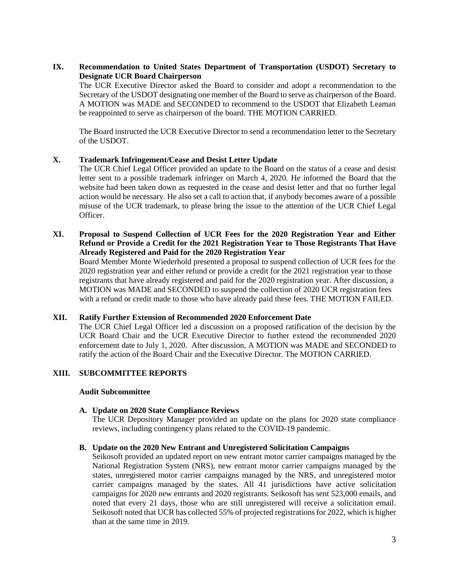# **IX. Recommendation to United States Department of Transportation (USDOT) Secretary to Designate UCR Board Chairperson**

The UCR Executive Director asked the Board to consider and adopt a recommendation to the Secretary of the USDOT designating one member of the Board to serve as chairperson of the Board. A MOTION was MADE and SECONDED to recommend to the USDOT that Elizabeth Leaman be reappointed to serve as chairperson of the board. THE MOTION CARRIED.

The Board instructed the UCR Executive Director to send a recommendation letter to the Secretary of the USDOT.

## **X. Trademark Infringement/Cease and Desist Letter Update**

The UCR Chief Legal Officer provided an update to the Board on the status of a cease and desist letter sent to a possible trademark infringer on March 4, 2020. He informed the Board that the website had been taken down as requested in the cease and desist letter and that no further legal action would be necessary. He also set a call to action that, if anybody becomes aware of a possible misuse of the UCR trademark, to please bring the issue to the attention of the UCR Chief Legal Officer.

## **XI. Proposal to Suspend Collection of UCR Fees for the 2020 Registration Year and Either Refund or Provide a Credit for the 2021 Registration Year to Those Registrants That Have Already Registered and Paid for the 2020 Registration Year**

Board Member Monte Wiederhold presented a proposal to suspend collection of UCR fees for the 2020 registration year and either refund or provide a credit for the 2021 registration year to those registrants that have already registered and paid for the 2020 registration year. After discussion, a MOTION was MADE and SECONDED to suspend the collection of 2020 UCR registration fees with a refund or credit made to those who have already paid these fees. THE MOTION FAILED.

#### **XII. Ratify Further Extension of Recommended 2020 Enforcement Date**

The UCR Chief Legal Officer led a discussion on a proposed ratification of the decision by the UCR Board Chair and the UCR Executive Director to further extend the recommended 2020 enforcement date to July 1, 2020. After discussion, A MOTION was MADE and SECONDED to ratify the action of the Board Chair and the Executive Director. The MOTION CARRIED.

## **XIII. SUBCOMMITTEE REPORTS**

#### **Audit Subcommittee**

#### **A. Update on 2020 State Compliance Reviews**

The UCR Depository Manager provided an update on the plans for 2020 state compliance reviews, including contingency plans related to the COVID-19 pandemic.

#### **B. Update on the 2020 New Entrant and Unregistered Solicitation Campaigns**

Seikosoft provided an updated report on new entrant motor carrier campaigns managed by the National Registration System (NRS), new entrant motor carrier campaigns managed by the states, unregistered motor carrier campaigns managed by the NRS, and unregistered motor carrier campaigns managed by the states. All 41 jurisdictions have active solicitation campaigns for 2020 new entrants and 2020 registrants. Seikosoft has sent 523,000 emails, and noted that every 21 days, those who are still unregistered will receive a solicitation email. Seikosoft noted that UCR has collected 55% of projected registrations for 2022, which is higher than at the same time in 2019.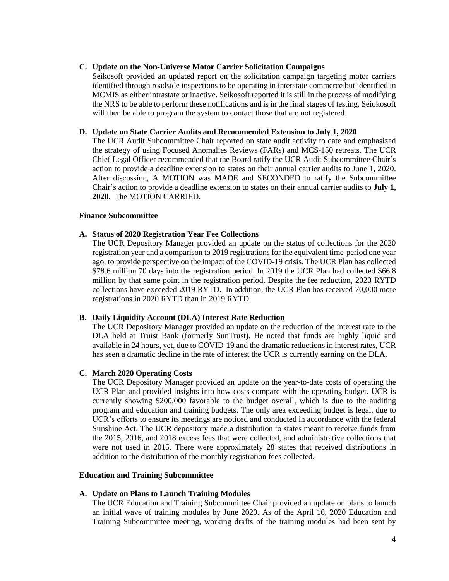## **C. Update on the Non-Universe Motor Carrier Solicitation Campaigns**

Seikosoft provided an updated report on the solicitation campaign targeting motor carriers identified through roadside inspections to be operating in interstate commerce but identified in MCMIS as either intrastate or inactive. Seikosoft reported it is still in the process of modifying the NRS to be able to perform these notifications and is in the final stages of testing. Seiokosoft will then be able to program the system to contact those that are not registered.

#### **D. Update on State Carrier Audits and Recommended Extension to July 1, 2020**

The UCR Audit Subcommittee Chair reported on state audit activity to date and emphasized the strategy of using Focused Anomalies Reviews (FARs) and MCS-150 retreats. The UCR Chief Legal Officer recommended that the Board ratify the UCR Audit Subcommittee Chair's action to provide a deadline extension to states on their annual carrier audits to June 1, 2020. After discussion, A MOTION was MADE and SECONDED to ratify the Subcommittee Chair's action to provide a deadline extension to states on their annual carrier audits to **July 1, 2020**. The MOTION CARRIED.

#### **Finance Subcommittee**

## **A. Status of 2020 Registration Year Fee Collections**

The UCR Depository Manager provided an update on the status of collections for the 2020 registration year and a comparison to 2019 registrations for the equivalent time-period one year ago, to provide perspective on the impact of the COVID-19 crisis. The UCR Plan has collected \$78.6 million 70 days into the registration period. In 2019 the UCR Plan had collected \$66.8 million by that same point in the registration period. Despite the fee reduction, 2020 RYTD collections have exceeded 2019 RYTD. In addition, the UCR Plan has received 70,000 more registrations in 2020 RYTD than in 2019 RYTD.

#### **B. Daily Liquidity Account (DLA) Interest Rate Reduction**

The UCR Depository Manager provided an update on the reduction of the interest rate to the DLA held at Truist Bank (formerly SunTrust). He noted that funds are highly liquid and available in 24 hours, yet, due to COVID-19 and the dramatic reductions in interest rates, UCR has seen a dramatic decline in the rate of interest the UCR is currently earning on the DLA.

## **C. March 2020 Operating Costs**

The UCR Depository Manager provided an update on the year-to-date costs of operating the UCR Plan and provided insights into how costs compare with the operating budget. UCR is currently showing \$200,000 favorable to the budget overall, which is due to the auditing program and education and training budgets. The only area exceeding budget is legal, due to UCR's efforts to ensure its meetings are noticed and conducted in accordance with the federal Sunshine Act. The UCR depository made a distribution to states meant to receive funds from the 2015, 2016, and 2018 excess fees that were collected, and administrative collections that were not used in 2015. There were approximately 28 states that received distributions in addition to the distribution of the monthly registration fees collected.

#### **Education and Training Subcommittee**

#### **A. Update on Plans to Launch Training Modules**

The UCR Education and Training Subcommittee Chair provided an update on plans to launch an initial wave of training modules by June 2020. As of the April 16, 2020 Education and Training Subcommittee meeting, working drafts of the training modules had been sent by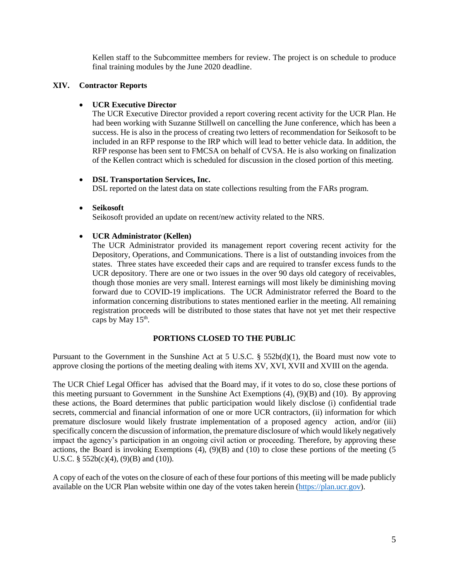Kellen staff to the Subcommittee members for review. The project is on schedule to produce final training modules by the June 2020 deadline.

## **XIV. Contractor Reports**

# **UCR Executive Director**

The UCR Executive Director provided a report covering recent activity for the UCR Plan. He had been working with Suzanne Stillwell on cancelling the June conference, which has been a success. He is also in the process of creating two letters of recommendation for Seikosoft to be included in an RFP response to the IRP which will lead to better vehicle data. In addition, the RFP response has been sent to FMCSA on behalf of CVSA. He is also working on finalization of the Kellen contract which is scheduled for discussion in the closed portion of this meeting.

# **DSL Transportation Services, Inc.**

DSL reported on the latest data on state collections resulting from the FARs program.

## **Seikosoft**

Seikosoft provided an update on recent/new activity related to the NRS.

# **UCR Administrator (Kellen)**

The UCR Administrator provided its management report covering recent activity for the Depository, Operations, and Communications. There is a list of outstanding invoices from the states. Three states have exceeded their caps and are required to transfer excess funds to the UCR depository. There are one or two issues in the over 90 days old category of receivables, though those monies are very small. Interest earnings will most likely be diminishing moving forward due to COVID-19 implications. The UCR Administrator referred the Board to the information concerning distributions to states mentioned earlier in the meeting. All remaining registration proceeds will be distributed to those states that have not yet met their respective caps by May  $15<sup>th</sup>$ .

# **PORTIONS CLOSED TO THE PUBLIC**

Pursuant to the Government in the Sunshine Act at 5 U.S.C.  $\S$  552b(d)(1), the Board must now vote to approve closing the portions of the meeting dealing with items XV, XVI, XVII and XVIII on the agenda.

The UCR Chief Legal Officer has advised that the Board may, if it votes to do so, close these portions of this meeting pursuant to Government in the Sunshine Act Exemptions (4), (9)(B) and (10). By approving these actions, the Board determines that public participation would likely disclose (i) confidential trade secrets, commercial and financial information of one or more UCR contractors, (ii) information for which premature disclosure would likely frustrate implementation of a proposed agency action, and/or (iii) specifically concern the discussion of information, the premature disclosure of which would likely negatively impact the agency's participation in an ongoing civil action or proceeding. Therefore, by approving these actions, the Board is invoking Exemptions (4), (9)(B) and (10) to close these portions of the meeting (5 U.S.C. §  $552b(c)(4)$ ,  $(9)(B)$  and  $(10)$ ).

A copy of each of the votes on the closure of each of these four portions of this meeting will be made publicly available on the UCR Plan website within one day of the votes taken herein [\(https://plan.ucr.gov\)](https://plan.ucr.gov/).